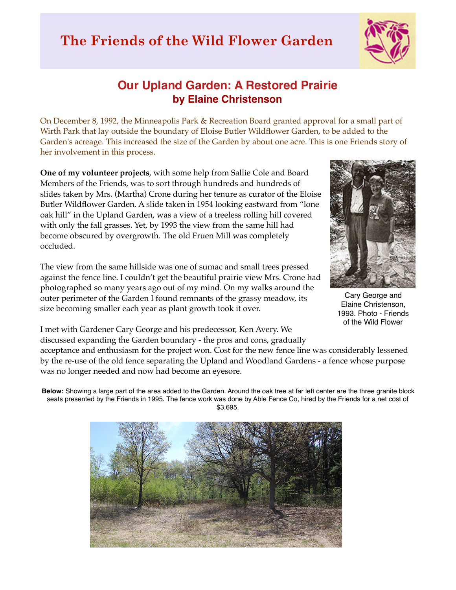## **The Friends of the Wild Flower Garden**



## **Our Upland Garden: A Restored Prairie by Elaine Christenson**

On December 8, 1992, the Minneapolis Park & Recreation Board granted approval for a small part of Wirth Park that lay outside the boundary of Eloise Butler Wildflower Garden, to be added to the Garden's acreage. This increased the size of the Garden by about one acre. This is one Friends story of her involvement in this process.

**One of my volunteer projects**, with some help from Sallie Cole and Board Members of the Friends, was to sort through hundreds and hundreds of slides taken by Mrs. (Martha) Crone during her tenure as curator of the Eloise Butler Wildflower Garden. A slide taken in 1954 looking eastward from "lone oak hill" in the Upland Garden, was a view of a treeless rolling hill covered with only the fall grasses. Yet, by 1993 the view from the same hill had become obscured by overgrowth. The old Fruen Mill was completely occluded.

The view from the same hillside was one of sumac and small trees pressed against the fence line. I couldn't get the beautiful prairie view Mrs. Crone had photographed so many years ago out of my mind. On my walks around the outer perimeter of the Garden I found remnants of the grassy meadow, its size becoming smaller each year as plant growth took it over.



Cary George and Elaine Christenson, 1993. Photo - Friends of the Wild Flower

I met with Gardener Cary George and his predecessor, Ken Avery. We discussed expanding the Garden boundary - the pros and cons, gradually

acceptance and enthusiasm for the project won. Cost for the new fence line was considerably lessened by the re-use of the old fence separating the Upland and Woodland Gardens - a fence whose purpose was no longer needed and now had become an eyesore.

**Below:** Showing a large part of the area added to the Garden. Around the oak tree at far left center are the three granite block seats presented by the Friends in 1995. The fence work was done by Able Fence Co, hired by the Friends for a net cost of \$3,695.